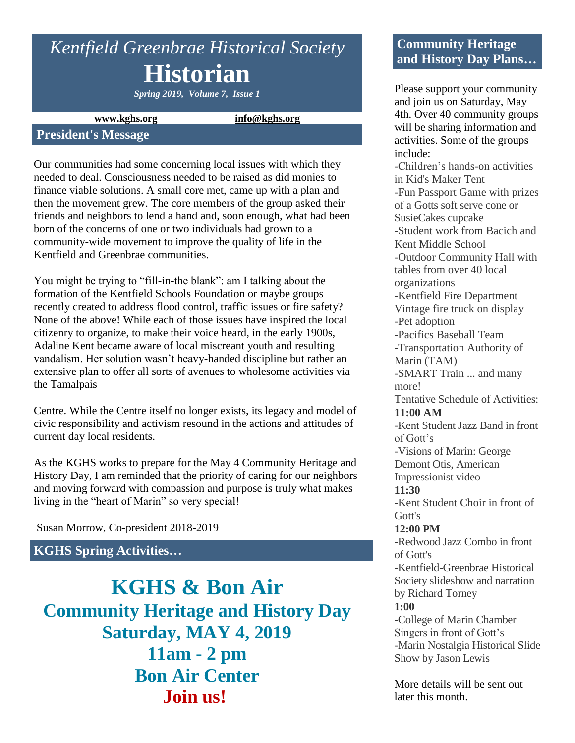# *Kentfield Greenbrae Historical Society* **Historian**

*Spring 2019, Volume 7, Issue 1*

**www.kghs.org [info@kghs.org](mailto:info@kghs.org)**

#### **President's Message**

Our communities had some concerning local issues with which they needed to deal. Consciousness needed to be raised as did monies to finance viable solutions. A small core met, came up with a plan and then the movement grew. The core members of the group asked their friends and neighbors to lend a hand and, soon enough, what had been born of the concerns of one or two individuals had grown to a community-wide movement to improve the quality of life in the Kentfield and Greenbrae communities.

You might be trying to "fill-in-the blank": am I talking about the formation of the Kentfield Schools Foundation or maybe groups recently created to address flood control, traffic issues or fire safety? None of the above! While each of those issues have inspired the local citizenry to organize, to make their voice heard, in the early 1900s, Adaline Kent became aware of local miscreant youth and resulting vandalism. Her solution wasn't heavy-handed discipline but rather an extensive plan to offer all sorts of avenues to wholesome activities via the Tamalpais

Centre. While the Centre itself no longer exists, its legacy and model of civic responsibility and activism resound in the actions and attitudes of current day local residents.

As the KGHS works to prepare for the May 4 Community Heritage and History Day, I am reminded that the priority of caring for our neighbors and moving forward with compassion and purpose is truly what makes living in the "heart of Marin" so very special!

Susan Morrow, Co-president 2018-2019

# **KGHS Spring Activities…**

**KGHS & Bon Air Community Heritage and History Day Saturday, MAY 4, 2019 11am - 2 pm Bon Air Center Join us!**

# **Community Heritage and History Day Plans…**

Please support your community and join us on Saturday, May 4th. Over 40 community groups will be sharing information and activities. Some of the groups include: -Children's hands-on activities in Kid's Maker Tent -Fun Passport Game with prizes of a Gotts soft serve cone or SusieCakes cupcake -Student work from Bacich and Kent Middle School -Outdoor Community Hall with tables from over 40 local organizations -Kentfield Fire Department Vintage fire truck on display -Pet adoption -Pacifics Baseball Team -Transportation Authority of Marin (TAM) -SMART Train ... and many more! Tentative Schedule of Activities: **11:00 AM** -Kent Student Jazz Band in front of Gott's -Visions of Marin: George Demont Otis, American Impressionist video **11:30** -Kent Student Choir in front of Gott's **12:00 PM** -Redwood Jazz Combo in front of Gott's -Kentfield-Greenbrae Historical Society slideshow and narration by Richard Torney **1:00** -College of Marin Chamber Singers in front of Gott's -Marin Nostalgia Historical Slide Show by Jason Lewis

More details will be sent out later this month.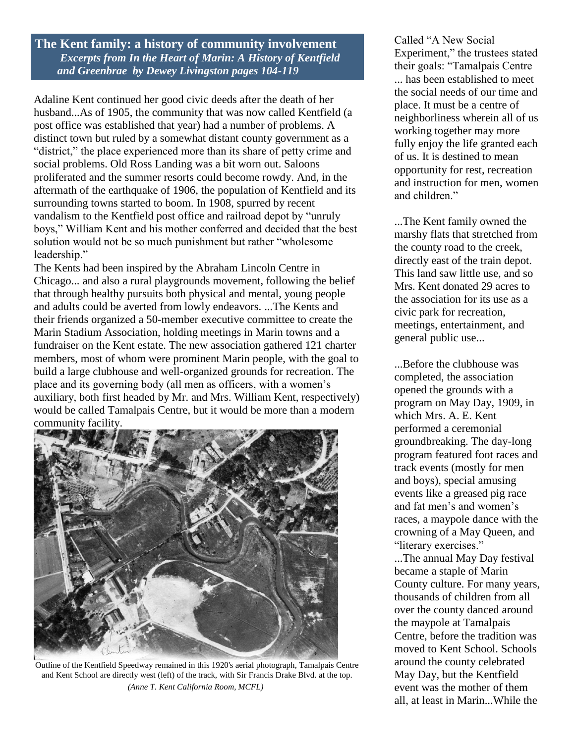**The Kent family: a history of community involvement**  *Excerpts from In the Heart of Marin: A History of Kentfield and Greenbrae by Dewey Livingston pages 104-119*

Adaline Kent continued her good civic deeds after the death of her husband...As of 1905, the community that was now called Kentfield (a post office was established that year) had a number of problems. A distinct town but ruled by a somewhat distant county government as a "district," the place experienced more than its share of petty crime and social problems. Old Ross Landing was a bit worn out. Saloons proliferated and the summer resorts could become rowdy. And, in the aftermath of the earthquake of 1906, the population of Kentfield and its surrounding towns started to boom. In 1908, spurred by recent vandalism to the Kentfield post office and railroad depot by "unruly boys," William Kent and his mother conferred and decided that the best solution would not be so much punishment but rather "wholesome leadership."

The Kents had been inspired by the Abraham Lincoln Centre in Chicago... and also a rural playgrounds movement, following the belief that through healthy pursuits both physical and mental, young people and adults could be averted from lowly endeavors. ...The Kents and their friends organized a 50-member executive committee to create the Marin Stadium Association, holding meetings in Marin towns and a fundraiser on the Kent estate. The new association gathered 121 charter members, most of whom were prominent Marin people, with the goal to build a large clubhouse and well-organized grounds for recreation. The place and its governing body (all men as officers, with a women's auxiliary, both first headed by Mr. and Mrs. William Kent, respectively) would be called Tamalpais Centre, but it would be more than a modern community facility.



Outline of the Kentfield Speedway remained in this 1920's aerial photograph, Tamalpais Centre and Kent School are directly west (left) of the track, with Sir Francis Drake Blvd. at the top. *(Anne T. Kent California Room, MCFL)*

Called "A New Social Experiment," the trustees stated their goals: "Tamalpais Centre ... has been established to meet the social needs of our time and place. It must be a centre of neighborliness wherein all of us working together may more fully enjoy the life granted each of us. It is destined to mean opportunity for rest, recreation and instruction for men, women and children."

...The Kent family owned the marshy flats that stretched from the county road to the creek, directly east of the train depot. This land saw little use, and so Mrs. Kent donated 29 acres to the association for its use as a civic park for recreation, meetings, entertainment, and general public use...

...Before the clubhouse was completed, the association opened the grounds with a program on May Day, 1909, in which Mrs. A. E. Kent performed a ceremonial groundbreaking. The day-long program featured foot races and track events (mostly for men and boys), special amusing events like a greased pig race and fat men's and women's races, a maypole dance with the crowning of a May Queen, and "literary exercises."

...The annual May Day festival became a staple of Marin County culture. For many years, thousands of children from all over the county danced around the maypole at Tamalpais Centre, before the tradition was moved to Kent School. Schools around the county celebrated May Day, but the Kentfield event was the mother of them all, at least in Marin...While the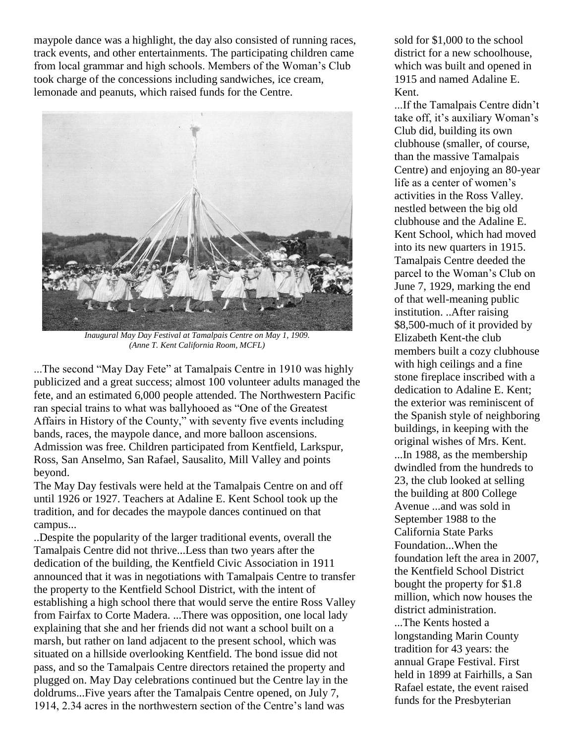maypole dance was a highlight, the day also consisted of running races, track events, and other entertainments. The participating children came from local grammar and high schools. Members of the Woman's Club took charge of the concessions including sandwiches, ice cream, lemonade and peanuts, which raised funds for the Centre.



*Inaugural May Day Festival at Tamalpais Centre on May 1, 1909. (Anne T. Kent California Room, MCFL)*

...The second "May Day Fete" at Tamalpais Centre in 1910 was highly publicized and a great success; almost 100 volunteer adults managed the fete, and an estimated 6,000 people attended. The Northwestern Pacific ran special trains to what was ballyhooed as "One of the Greatest Affairs in History of the County," with seventy five events including bands, races, the maypole dance, and more balloon ascensions. Admission was free. Children participated from Kentfield, Larkspur, Ross, San Anselmo, San Rafael, Sausalito, Mill Valley and points beyond.

The May Day festivals were held at the Tamalpais Centre on and off until 1926 or 1927. Teachers at Adaline E. Kent School took up the tradition, and for decades the maypole dances continued on that campus...

..Despite the popularity of the larger traditional events, overall the Tamalpais Centre did not thrive...Less than two years after the dedication of the building, the Kentfield Civic Association in 1911 announced that it was in negotiations with Tamalpais Centre to transfer the property to the Kentfield School District, with the intent of establishing a high school there that would serve the entire Ross Valley from Fairfax to Corte Madera. ...There was opposition, one local lady explaining that she and her friends did not want a school built on a marsh, but rather on land adjacent to the present school, which was situated on a hillside overlooking Kentfield. The bond issue did not pass, and so the Tamalpais Centre directors retained the property and plugged on. May Day celebrations continued but the Centre lay in the doldrums...Five years after the Tamalpais Centre opened, on July 7, 1914, 2.34 acres in the northwestern section of the Centre's land was

sold for \$1,000 to the school district for a new schoolhouse, which was built and opened in 1915 and named Adaline E. Kent.

...If the Tamalpais Centre didn't take off, it's auxiliary Woman's Club did, building its own clubhouse (smaller, of course, than the massive Tamalpais Centre) and enjoying an 80-year life as a center of women's activities in the Ross Valley. nestled between the big old clubhouse and the Adaline E. Kent School, which had moved into its new quarters in 1915. Tamalpais Centre deeded the parcel to the Woman's Club on June 7, 1929, marking the end of that well-meaning public institution. ..After raising \$8,500-much of it provided by Elizabeth Kent-the club members built a cozy clubhouse with high ceilings and a fine stone fireplace inscribed with a dedication to Adaline E. Kent; the exterior was reminiscent of the Spanish style of neighboring buildings, in keeping with the original wishes of Mrs. Kent.

...In 1988, as the membership dwindled from the hundreds to 23, the club looked at selling the building at 800 College Avenue ...and was sold in September 1988 to the California State Parks Foundation...When the foundation left the area in 2007, the Kentfield School District bought the property for \$1.8 million, which now houses the district administration. ...The Kents hosted a

longstanding Marin County tradition for 43 years: the annual Grape Festival. First held in 1899 at Fairhills, a San Rafael estate, the event raised funds for the Presbyterian